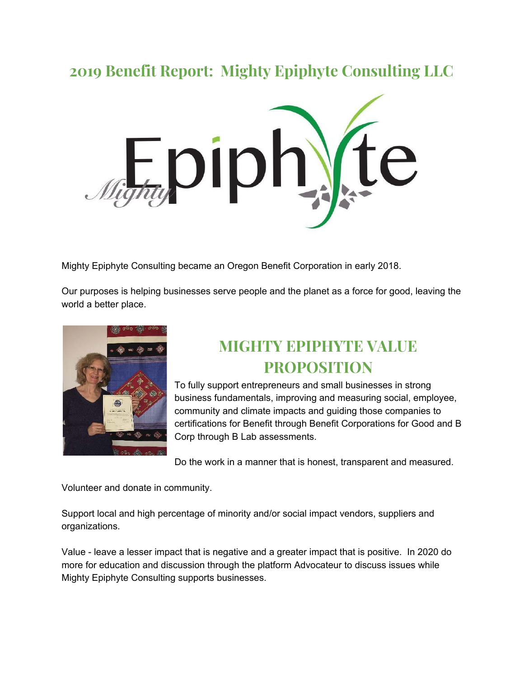#### **2019 Benefit Report: Mighty Epiphyte Consulting LLC**



Mighty Epiphyte Consulting became an Oregon Benefit Corporation in early 2018.

Our purposes is helping businesses serve people and the planet as a force for good, leaving the world a better place.



#### **MIGHTY EPIPHYTE VALUE PROPOSITION**

To fully support entrepreneurs and small businesses in strong business fundamentals, improving and measuring social, employee, community and climate impacts and guiding those companies to certifications for Benefit through Benefit Corporations for Good and B Corp through B Lab assessments.

Do the work in a manner that is honest, transparent and measured.

Volunteer and donate in community.

Support local and high percentage of minority and/or social impact vendors, suppliers and organizations.

Value - leave a lesser impact that is negative and a greater impact that is positive. In 2020 do more for education and discussion through the platform Advocateur to discuss issues while Mighty Epiphyte Consulting supports businesses.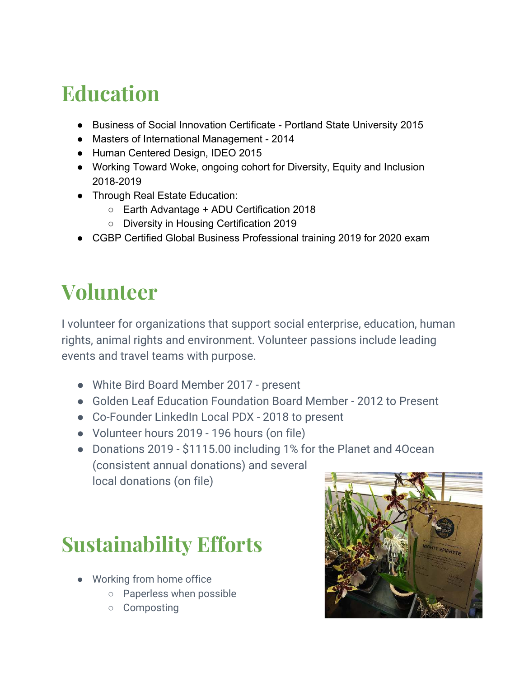### **Education**

- Business of Social Innovation Certificate Portland State University 2015
- Masters of International Management 2014
- Human Centered Design, IDEO 2015
- Working Toward Woke, ongoing cohort for Diversity, Equity and Inclusion 2018-2019
- Through Real Estate Education:
	- Earth Advantage + ADU Certification 2018
	- Diversity in Housing Certification 2019
- CGBP Certified Global Business Professional training 2019 for 2020 exam

## **Volunteer**

I volunteer for organizations that support social enterprise, education, human rights, animal rights and environment. Volunteer passions include leading events and travel teams with purpose.

- White Bird Board Member 2017 present
- Golden Leaf Education Foundation Board Member 2012 to Present
- Co-Founder LinkedIn Local PDX 2018 to present
- Volunteer hours 2019 196 hours (on file)
- Donations 2019 \$1115.00 including 1% for the Planet and 4Ocean (consistent annual donations) and several local donations (on file)

## **Sustainability Efforts**

- Working from home office
	- Paperless when possible
	- Composting

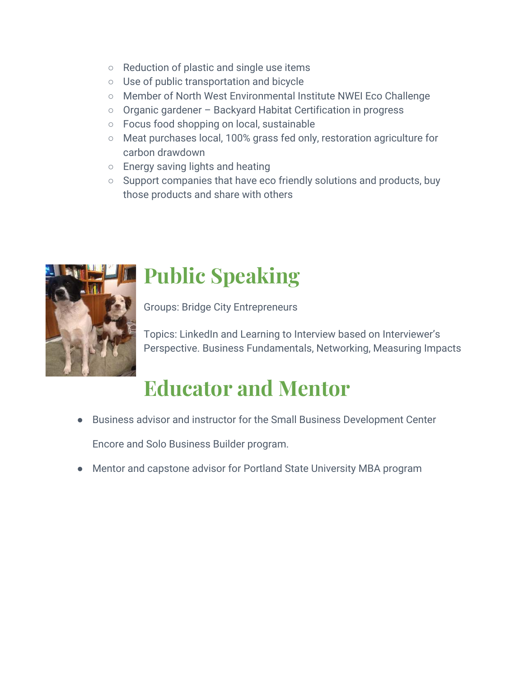- Reduction of plastic and single use items
- Use of public transportation and bicycle
- Member of North West Environmental Institute NWEI Eco Challenge
- Organic gardener Backyard Habitat Certification in progress
- Focus food shopping on local, sustainable
- Meat purchases local, 100% grass fed only, restoration agriculture for carbon drawdown
- Energy saving lights and heating
- Support companies that have eco friendly solutions and products, buy those products and share with others



# **Public Speaking**

Groups: Bridge City Entrepreneurs

Topics: LinkedIn and Learning to Interview based on Interviewer's Perspective. Business Fundamentals, Networking, Measuring Impacts

## **Educator and Mentor**

● Business advisor and instructor for the Small Business Development Center

Encore and Solo Business Builder program.

● Mentor and capstone advisor for Portland State University MBA program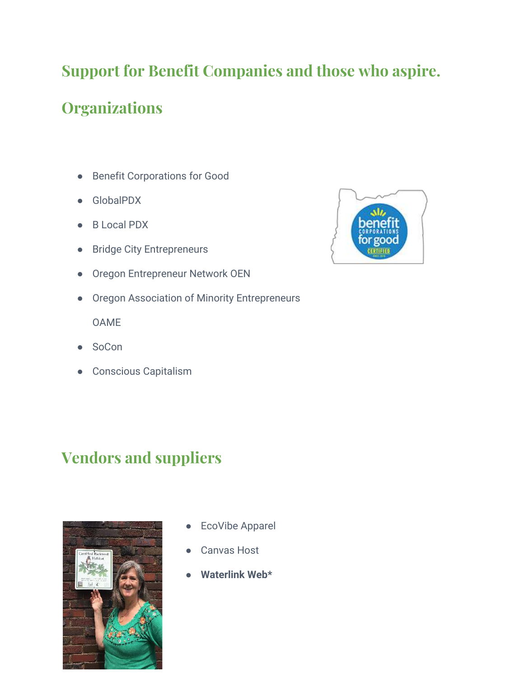#### **Support for Benefit Companies and those who aspire.**

#### **Organizations**

- Benefit Corporations for Good
- GlobalPDX
- B Local PDX
- Bridge City Entrepreneurs
- Oregon Entrepreneur Network OEN
- Oregon Association of Minority Entrepreneurs

OAME

- SoCon
- Conscious Capitalism

#### **Vendors and suppliers**



- **EcoVibe Apparel**
- Canvas Host
- **● Waterlink Web\***

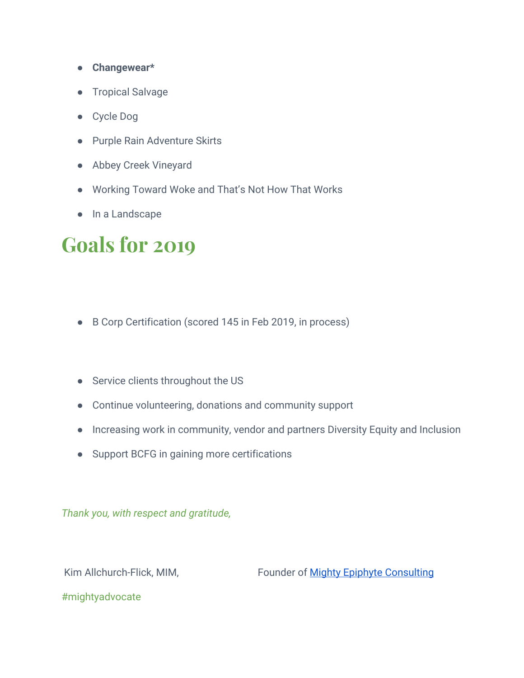- **● Changewear\***
- Tropical Salvage
- Cycle Dog
- Purple Rain Adventure Skirts
- Abbey Creek Vineyard
- Working Toward Woke and That's Not How That Works
- In a Landscape

### **Goals for 2019**

- B Corp Certification (scored 145 in Feb 2019, in process)
- Service clients throughout the US
- Continue volunteering, donations and community support
- Increasing work in community, vendor and partners Diversity Equity and Inclusion
- Support BCFG in gaining more certifications

*Thank you, with respect and gratitude,* 

Kim Allchurch-Flick, MIM, Founder of Mighty Epiphyte Consulting

#mightyadvocate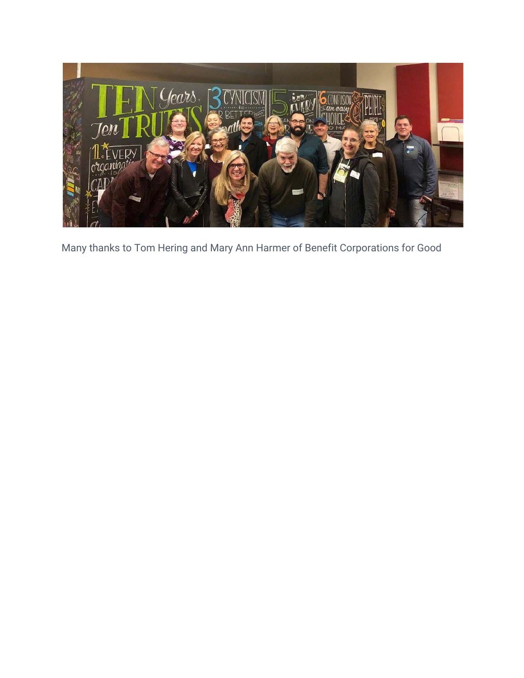

Many thanks to Tom Hering and Mary Ann Harmer of Benefit Corporations for Good